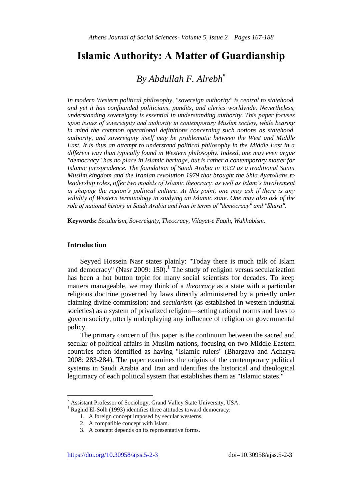# **Islamic Authority: A Matter of Guardianship**

# *By Abdullah F. Alrebh*

*In modern Western political philosophy, "sovereign authority" is central to statehood, and yet it has confounded politicians, pundits, and clerics worldwide. Nevertheless, understanding sovereignty is essential in understanding authority. This paper focuses upon issues of sovereignty and authority in contemporary Muslim society, while bearing in mind the common operational definitions concerning such notions as statehood, authority, and sovereignty itself may be problematic between the West and Middle East. It is thus an attempt to understand political philosophy in the Middle East in a different way than typically found in Western philosophy. Indeed, one may even argue "democracy" has no place in Islamic heritage, but is rather a contemporary matter for Islamic jurisprudence. The foundation of Saudi Arabia in 1932 as a traditional Sunni Muslim kingdom and the Iranian revolution 1979 that brought the Shia Ayatollahs to leadership roles, offer two models of Islamic theocracy, as well as Islam's involvement in shaping the region's political culture. At this point, one may ask if there is any validity of Western terminology in studying an Islamic state. One may also ask of the role of national history in Saudi Arabia and Iran in terms of "democracy" and "Shura".*

**Keywords:** *Secularism, Sovereignty, Theocracy, Vilayat-e Faqih, Wahhabism.*

## **Introduction**

 $\overline{\phantom{a}}$ 

Seyyed Hossein Nasr states plainly: "Today there is much talk of Islam and democracy" (Nasr 2009: 150).<sup>1</sup> The study of religion versus secularization has been a hot button topic for many social scientists for decades. To keep matters manageable, we may think of a *theocracy* as a state with a particular religious doctrine governed by laws directly administered by a priestly order claiming divine commission; and *secularism* (as established in western industrial societies) as a system of privatized religion—setting rational norms and laws to govern society, utterly underplaying any influence of religion on governmental policy.

The primary concern of this paper is the continuum between the sacred and secular of political affairs in Muslim nations, focusing on two Middle Eastern countries often identified as having "Islamic rulers" (Bhargava and Acharya 2008: 283-284). The paper examines the origins of the contemporary political systems in Saudi Arabia and Iran and identifies the historical and theological legitimacy of each political system that establishes them as "Islamic states."

Assistant Professor of Sociology, Grand Valley State University, USA.

<sup>&</sup>lt;sup>1</sup> Raghid El-Solh (1993) identifies three attitudes toward democracy:

<sup>1.</sup> A foreign concept imposed by secular westerns.

<sup>2.</sup> A compatible concept with Islam.

<sup>3.</sup> A concept depends on its representative forms.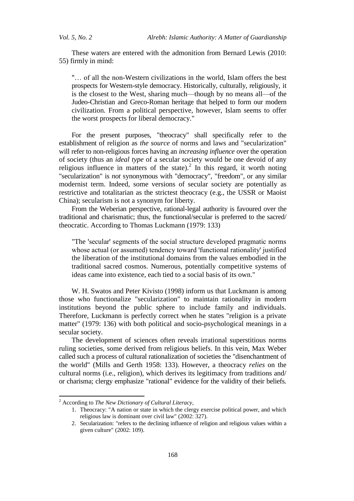These waters are entered with the admonition from Bernard Lewis (2010: 55) firmly in mind:

"… of all the non-Western civilizations in the world, Islam offers the best prospects for Western-style democracy. Historically, culturally, religiously, it is the closest to the West, sharing much—though by no means all—of the Judeo-Christian and Greco-Roman heritage that helped to form our modern civilization. From a political perspective, however, Islam seems to offer the worst prospects for liberal democracy."

For the present purposes, "theocracy" shall specifically refer to the establishment of religion as *the source* of norms and laws and "secularization" will refer to non-religious forces having an *increasing influence* over the operation of society (thus an *ideal type* of a secular society would be one devoid of any religious influence in matters of the state).<sup>2</sup> In this regard, it worth noting "secularization" is *not* synonymous with "democracy", "freedom", or any similar modernist term. Indeed, some versions of secular society are potentially as restrictive and totalitarian as the strictest theocracy (e.g., the USSR or Maoist China); secularism is not a synonym for liberty.

From the Weberian perspective, rational-legal authority is favoured over the traditional and charismatic; thus, the functional/secular is preferred to the sacred/ theocratic. According to Thomas Luckmann (1979: 133)

"The 'secular' segments of the social structure developed pragmatic norms whose actual (or assumed) tendency toward 'functional rationality' justified the liberation of the institutional domains from the values embodied in the traditional sacred cosmos. Numerous, potentially competitive systems of ideas came into existence, each tied to a social basis of its own."

W. H. Swatos and Peter Kivisto (1998) inform us that Luckmann is among those who functionalize "secularization" to maintain rationality in modern institutions beyond the public sphere to include family and individuals. Therefore, Luckmann is perfectly correct when he states "religion is a private matter" (1979: 136) with both political and socio-psychological meanings in a secular society.

The development of sciences often reveals irrational superstitious norms ruling societies, some derived from religious beliefs. In this vein, Max Weber called such a process of cultural rationalization of societies the "disenchantment of the world" (Mills and Gerth 1958: 133). However, a theocracy *relies* on the cultural norms (i.e., religion), which derives its legitimacy from traditions and/ or charisma; clergy emphasize "rational" evidence for the validity of their beliefs.

 $\ddot{\phantom{a}}$ 

<sup>2</sup> According to *The New Dictionary of Cultural Literacy*,

<sup>1.</sup> Theocracy: "A nation or state in which the clergy exercise political power, and which religious law is dominant over civil law" (2002: 327).

<sup>2.</sup> Secularization: "refers to the declining influence of religion and religious values within a given culture" (2002: 109).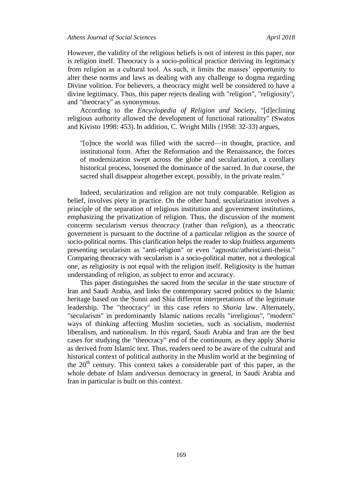However, the validity of the religious beliefs is not of interest in this paper, nor is religion itself. Theocracy is a socio-political practice deriving its legitimacy from religion as a cultural tool. As such, it limits the masses' opportunity to alter these norms and laws as dealing with any challenge to dogma regarding Divine volition. For believers, a theocracy might well be considered to have a divine legitimacy. Thus, this paper rejects dealing with "religion", "religiosity", and "theocracy" as synonymous.

According to the *Encyclopedia of Religion and Society*, "[d]eclining religious authority allowed the development of functional rationality" (Swatos and Kivisto 1998: 453). In addition, C. Wright Mills (1958: 32-33) argues,

"[o]nce the world was filled with the sacred—in thought, practice, and institutional form. After the Reformation and the Renaissance, the forces of modernization swept across the globe and secularization, a corollary historical process, loosened the dominance of the sacred. In due course, the sacred shall disappear altogether except, possibly, in the private realm."

Indeed, secularization and religion are not truly comparable. Religion as belief, involves piety in practice. On the other hand, secularization involves a principle of the separation of religious institution and government institutions, emphasizing the privatization of religion. Thus, the discussion of the moment concerns secularism versus *theocracy* (rather than *religion*), as a theocratic government is pursuant to the doctrine of a particular religion as the source of socio-political norms. This clarification helps the reader to skip fruitless arguments presenting secularism as "anti-religion" or even "agnostic/atheist/anti-theist." Comparing theocracy with secularism is a socio-political matter, not a theological one, as religiosity is not equal with the religion itself. Religiosity is the human understanding of religion, as subject to error and accuracy.

This paper distinguishes the sacred from the secular in the state structure of Iran and Saudi Arabia, and links the contemporary sacred politics to the Islamic heritage based on the Sunni and Shia different interpretations of the legitimate leadership. The "theocracy" in this case refers to *Sharia* law. Alternately, "secularism" in predominantly Islamic nations recalls "irreligious", "modern" ways of thinking affecting Muslim societies, such as socialism, modernist liberalism, and nationalism. In this regard, Saudi Arabia and Iran are the best cases for studying the "theocracy" end of the continuum, as they apply *Sharia* as derived from Islamic text. Thus, readers need to be aware of the cultural and historical context of political authority in the Muslim world at the beginning of the  $20<sup>th</sup>$  century. This context takes a considerable part of this paper, as the whole debate of Islam and/versus democracy in general, in Saudi Arabia and Iran in particular is built on this context.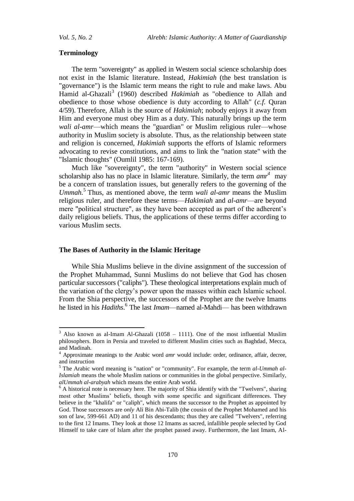$\ddot{\phantom{a}}$ 

#### **Terminology**

The term "sovereignty" as applied in Western social science scholarship does not exist in the Islamic literature. Instead, *Hakimiah* (the best translation is "governance") is the Islamic term means the right to rule and make laws. Abu Hamid al-Ghazali<sup>3</sup> (1960) described *Hakimiah* as "obedience to Allah and obedience to those whose obedience is duty according to Allah" (*c.f.* Quran 4/59). Therefore, Allah is the source of *Hakimiah*; nobody enjoys it away from Him and everyone must obey Him as a duty. This naturally brings up the term *wali al-amr*—which means the "guardian" or Muslim religious ruler—whose authority in Muslim society is absolute. Thus, as the relationship between state and religion is concerned, *Hakimiah* supports the efforts of Islamic reformers advocating to revise constitutions, and aims to link the "nation state" with the "Islamic thoughts" (Oumlil 1985: 167-169).

Much like "sovereignty", the term "authority" in Western social science scholarship also has no place in Islamic literature. Similarly, the term  $amr<sup>4</sup>$  may be a concern of translation issues, but generally refers to the governing of the *Ummah.*<sup>5</sup> Thus, as mentioned above, the term *wali al-amr* means the Muslim religious ruler, and therefore these terms—*Hakimiah* and *al-amr*—are beyond mere "political structure", as they have been accepted as part of the adherent's daily religious beliefs. Thus, the applications of these terms differ according to various Muslim sects.

## **The Bases of Authority in the Islamic Heritage**

While Shia Muslims believe in the divine assignment of the succession of the Prophet Muhammad, Sunni Muslims do not believe that God has chosen particular successors ("caliphs"). These theological interpretations explain much of the variation of the clergy's power upon the masses within each Islamic school. From the Shia perspective, the successors of the Prophet are the twelve Imams he listed in his *Hadiths*. 6 The last *Imam*—named al-Mahdi— has been withdrawn

Also known as al-Imam Al-Ghazali (1058 – 1111). One of the most influential Muslim philosophers. Born in Persia and traveled to different Muslim cities such as Baghdad, Mecca, and Madinah.

<sup>4</sup> Approximate meanings to the Arabic word *amr* would include: order, ordinance, affair, decree, and instruction

<sup>5</sup> The Arabic word meaning is "nation" or "community". For example, the term *al-Ummah al-Islamiah* means the whole Muslim nations or communities in the global perspective. Similarly, *alUmmah al-arabyah* which means the entire Arab world.

 $6$  A historical note is necessary here. The majority of Shia identify with the "Twelvers", sharing most other Muslims' beliefs, though with some specific and significant differences. They believe in the "khalifa" or "caliph", which means the successor to the Prophet as appointed by God. Those successors are *only* Ali Bin Abi-Talib (the cousin of the Prophet Mohamed and his son of law, 599-661 AD) and 11 of his descendants; thus they are called "Twelvers", referring to the first 12 Imams. They look at those 12 Imams as sacred, infallible people selected by God Himself to take care of Islam after the prophet passed away. Furthermore, the last Imam, Al-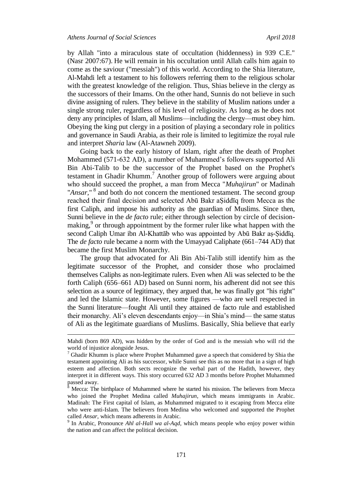1

by Allah "into a miraculous state of occultation (hiddenness) in 939 C.E." (Nasr 2007:67). He will remain in his occultation until Allah calls him again to come as the saviour ("messiah") of this world. According to the Shia literature, Al-Mahdi left a testament to his followers referring them to the religious scholar with the greatest knowledge of the religion. Thus, Shias believe in the clergy as the successors of their Imams. On the other hand, Sunnis do not believe in such divine assigning of rulers. They believe in the stability of Muslim nations under a single strong ruler, regardless of his level of religiosity. As long as he does not deny any principles of Islam, all Muslims—including the clergy—must obey him. Obeying the king put clergy in a position of playing a secondary role in politics and governance in Saudi Arabia, as their role is limited to legitimize the royal rule and interpret *Sharia* law (Al-Atawneh 2009).

Going back to the early history of Islam, right after the death of Prophet Mohammed (571-632 AD), a number of Muhammed's followers supported Ali Bin Abi-Talib to be the successor of the Prophet based on the Prophet's testament in Ghadir Khumm.<sup>7</sup> Another group of followers were arguing about who should succeed the prophet, a man from Mecca "*Muhajirun*" or Madinah "Ansar,"<sup>8</sup> and both do not concern the mentioned testament. The second group reached their final decision and selected Abū Bakr aṢiddīq from Mecca as the first Caliph, and impose his authority as the guardian of Muslims. Since then, Sunni believe in the *de facto* rule; either through selection by circle of decisionmaking,<sup>9</sup> or through appointment by the former ruler like what happen with the second Caliph Umar ibn Al-Khattāb who was appointed by Abū Bakr aṣ-Ṣiddīq. The *de facto* rule became a norm with the Umayyad Caliphate (661–744 AD) that became the first Muslim Monarchy.

The group that advocated for Ali Bin Abi-Talib still identify him as the legitimate successor of the Prophet, and consider those who proclaimed themselves Caliphs as non-legitimate rulers. Even when Ali was selected to be the forth Caliph (656–661 AD) based on Sunni norm, his adherent did not see this selection as a source of legitimacy, they argued that, he was finally got "his right" and led the Islamic state. However, some figures —who are well respected in the Sunni literature—fought Ali until they attained de facto rule and established their monarchy. Ali's eleven descendants enjoy—in Shia's mind— the same status of Ali as the legitimate guardians of Muslims. Basically, Shia believe that early

Mahdi (born 869 AD), was hidden by the order of God and is the messiah who will rid the world of injustice alongside Jesus.

 $7$  Ghadir Khumm is place where Prophet Muhammed gave a speech that considered by Shia the testament appointing Ali as his successor, while Sunni see this as no more that in a sign of high esteem and affection. Both sects recognize the verbal part of the Hadith, however, they interpret it in different ways. This story occurred 632 AD 3 months before Prophet Muhammed passed away.

<sup>8</sup> Mecca: The birthplace of Muhammed where he started his mission. The believers from Mecca who joined the Prophet Medina called *Muhajirun*, which means immigrants in Arabic. Madinah: The First capital of Islam, as Muhammed migrated to it escaping from Mecca elite who were anti-Islam. The believers from Medina who welcomed and supported the Prophet called *Ansar*, which means adherents in Arabic.

<sup>9</sup> In Arabic, Pronounce *Ahl al-Hall wa al-Aqd*, which means people who enjoy power within the nation and can affect the political decision.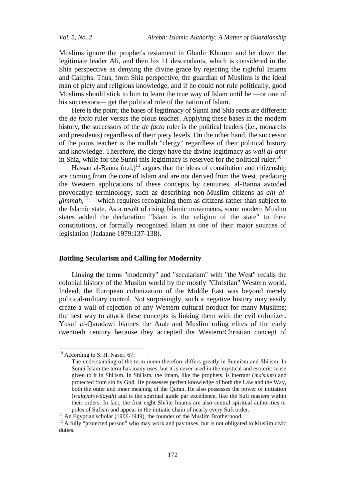Muslims ignore the prophet's testament in Ghadir Khumm and let down the legitimate leader Ali, and then his 11 descendants, which is considered in the Shia perspective as denying the divine grace by rejecting the rightful Imams and Caliphs. Thus, from Shia perspective, the guardian of Muslims is the ideal man of piety and religious knowledge, and if he could not rule politically, good Muslims should stick to him to learn the true way of Islam until he —or one of his successors— get the political rule of the nation of Islam.

Here is the point; the bases of legitimacy of Sunni and Shia sects are different: the *de facto* ruler versus the pious teacher. Applying these bases in the modern history, the successors of the *de facto* ruler is the political leaders (i.e., monarchs and presidents) regardless of their piety levels. On the other hand, the successor of the pious teacher is the mullah "clergy" regardless of their political history and knowledge. Therefore, the clergy have the divine legitimacy as *wali al-amr* in Shia, while for the Sunni this legitimacy is reserved for the political ruler.<sup>10</sup>

Hassan al-Banna  $(n.d.)$ <sup>11</sup> argues that the ideas of constitution and citizenship are coming from the core of Islam and are not derived from the West, predating the Western applications of these concepts by centuries. al-Banna avoided provocative terminology, such as describing non-Muslim citizens as *ahl al* $dimmah$ <sup>12</sup>— which requires recognizing them as citizens rather than subject to the Islamic state. As a result of rising Islamic movements, some modern Muslim states added the declaration "Islam is the religion of the state" to their constitutions, or formally recognized Islam as one of their major sources of legislation (Jadaane 1979:137-138).

## **Battling Secularism and Calling for Modernity**

Linking the terms "modernity" and "secularism" with "the West" recalls the colonial history of the Muslim world by the mostly "Christian" Western world. Indeed, the European colonization of the Middle East was beyond merely political-military control. Not surprisingly, such a negative history may easily create a wall of rejection of any Western cultural product for many Muslims; the best way to attack these concepts is linking them with the evil colonizer. Yusuf al-Qaradawi blames the Arab and Muslim ruling elites of the early twentieth century because they accepted the Western/Christian concept of

1

 $10$  According to S. H. Naser, 67:

The understanding of the term *imam* therefore differs greatly in Sunnism and Shi'ism. In Sunni Islam the term has many uses, but it is never used in the mystical and esoteric sense given to it in Shi'ism. In Shi'ism, the Imam, like the prophets, is inerrant (*ma's.um*) and protected from sin by God. He possesses perfect knowledge of both the Law and the Way, both the outer and inner meaning of the Quran. He also possesses the power of initiation (*walayah*/*wilayah*) and is the spiritual guide par excellence, like the Sufi masters within their orders. In fact, the first eight Shi'ite Imams are also central spiritual authorities or poles of Sufism and appear in the initiatic chain of nearly every Sufi order.

<sup>&</sup>lt;sup>11</sup> An Egyptian scholar (1906-1949), the founder of the Muslim Brotherhood.

 $12$  A fully "protected person" who may work and pay taxes, but is not obligated to Muslim civic duties.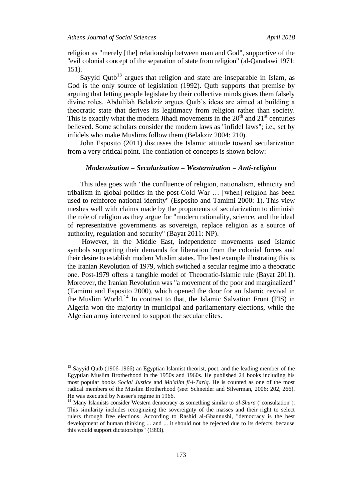religion as "merely [the] relationship between man and God", supportive of the "evil colonial concept of the separation of state from religion" (al-Qaradawi 1971: 151).

Sayyid Qutb<sup>13</sup> argues that religion and state are inseparable in Islam, as God is the only source of legislation (1992). Qutb supports that premise by arguing that letting people legislate by their collective minds gives them falsely divine roles. Abdulilah Belakziz argues Qutb's ideas are aimed at building a theocratic state that derives its legitimacy from religion rather than society. This is exactly what the modern Jihadi movements in the  $20<sup>th</sup>$  and  $21<sup>st</sup>$  centuries believed. Some scholars consider the modern laws as "infidel laws"; i.e., set by infidels who make Muslims follow them (Belakziz 2004: 210).

John Esposito (2011) discusses the Islamic attitude toward secularization from a very critical point. The conflation of concepts is shown below:

### *Modernization = Secularization = Westernization = Anti-religion*

This idea goes with "the confluence of religion, nationalism, ethnicity and tribalism in global politics in the post-Cold War … [when] religion has been used to reinforce national identity" (Esposito and Tamimi 2000: 1). This view meshes well with claims made by the proponents of secularization to diminish the role of religion as they argue for "modern rationality, science, and the ideal of representative governments as sovereign, replace religion as a source of authority, regulation and security" (Bayat 2011: NP).

However, in the Middle East, independence movements used Islamic symbols supporting their demands for liberation from the colonial forces and their desire to establish modern Muslim states. The best example illustrating this is the Iranian Revolution of 1979, which switched a secular regime into a theocratic one. Post-1979 offers a tangible model of Theocratic-Islamic rule (Bayat 2011). Moreover, the Iranian Revolution was "a movement of the poor and marginalized" (Tamimi and Esposito 2000), which opened the door for an Islamic revival in the Muslim World.<sup>14</sup> In contrast to that, the Islamic Salvation Front (FIS) in Algeria won the majority in municipal and parliamentary elections, while the Algerian army intervened to support the secular elites.

 $\overline{a}$ <sup>13</sup> Sayyid Qutb (1906-1966) an Egyptian Islamist theorist, poet, and the leading member of the Egyptian Muslim Brotherhood in the 1950s and 1960s. He published 24 books including his most popular books *Social Justice* and *Ma'alim fi-l-Tariq*. He is counted as one of the most radical members of the Muslim Brotherhood (see: Schneider and Silverman, 2006: 202, 266). He was executed by Nasser's regime in 1966.

<sup>&</sup>lt;sup>14</sup> Many Islamists consider Western democracy as something similar to *al-Shura* ("consultation"). This similarity includes recognizing the sovereignty of the masses and their right to select rulers through free elections. According to Rashid al-Ghannushi, "democracy is the best development of human thinking ... and ... it should not be rejected due to its defects, because this would support dictatorships" (1993).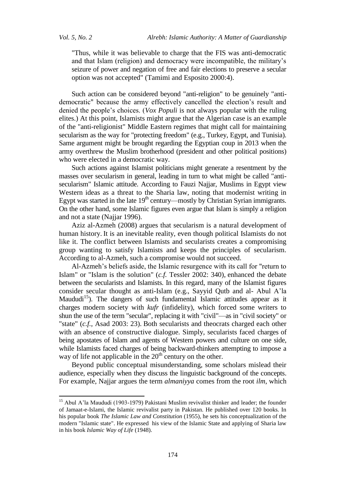$\ddot{\phantom{a}}$ 

"Thus, while it was believable to charge that the FIS was anti-democratic and that Islam (religion) and democracy were incompatible, the military's seizure of power and negation of free and fair elections to preserve a secular option was not accepted" (Tamimi and Esposito 2000:4).

Such action can be considered beyond "anti-religion" to be genuinely "antidemocratic" because the army effectively cancelled the election's result and denied the people's choices. (*Vox Populi* is not always popular with the ruling elites.) At this point, Islamists might argue that the Algerian case is an example of the "anti-religionist" Middle Eastern regimes that might call for maintaining secularism as the way for "protecting freedom" (e.g., Turkey, Egypt, and Tunisia). Same argument might be brought regarding the Egyptian coup in 2013 when the army overthrew the Muslim brotherhood (president and other political positions) who were elected in a democratic way.

Such actions against Islamist politicians might generate a resentment by the masses over secularism in general, leading in turn to what might be called "antisecularism" Islamic attitude. According to Fauzi Najjar, Muslims in Egypt view Western ideas as a threat to the Sharia law, noting that modernist writing in Egypt was started in the late  $19<sup>th</sup>$  century—mostly by Christian Syrian immigrants. On the other hand, some Islamic figures even argue that Islam is simply a religion and not a state (Najjar 1996).

Aziz al-Azmeh (2008) argues that secularism is a natural development of human history. It is an inevitable reality, even though political Islamists do not like it. The conflict between Islamists and secularists creates a compromising group wanting to satisfy Islamists and keeps the principles of secularism. According to al-Azmeh, such a compromise would not succeed.

Al-Azmeh's beliefs aside, the Islamic resurgence with its call for "return to Islam" or "Islam is the solution" (*c.f.* Tessler 2002: 340), enhanced the debate between the secularists and Islamists. In this regard, many of the Islamist figures consider secular thought as anti-Islam (e.g., Sayyid Qutb and al- Abul A'la Maududi<sup>15</sup>). The dangers of such fundamental Islamic attitudes appear as it charges modern society with *kufr* (infidelity), which forced some writers to shun the use of the term "secular", replacing it with "civil"—as in "civil society" or "state" (*c.f.,* Asad 2003: 23). Both secularists and theocrats charged each other with an absence of constructive dialogue. Simply, secularists faced charges of being apostates of Islam and agents of Western powers and culture on one side, while Islamists faced charges of being backward-thinkers attempting to impose a way of life not applicable in the  $20<sup>th</sup>$  century on the other.

Beyond public conceptual misunderstanding, some scholars mislead their audience, especially when they discuss the linguistic background of the concepts. For example, Najjar argues the term *almaniyya* comes from the root *ilm*, which

<sup>&</sup>lt;sup>15</sup> Abul A'la Maududi (1903-1979) Pakistani Muslim revivalist thinker and leader; the founder of Jamaat-e-Islami, the Islamic revivalist party in Pakistan. He published over 120 books. In his popular book *The Islamic Law and Constitution* (1955), he sets his conceptualization of the modern "Islamic state". He expressed his view of the Islamic State and applying of Sharia law in his book *Islamic Way of Life* (1948).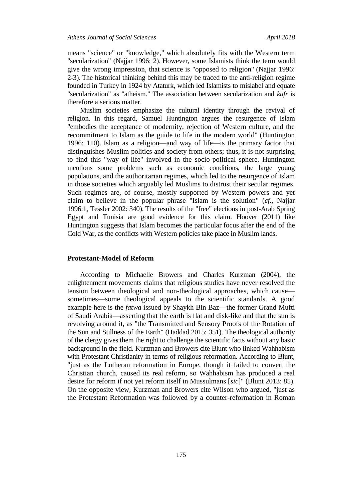means "science" or "knowledge," which absolutely fits with the Western term "secularization" (Najjar 1996: 2). However, some Islamists think the term would give the wrong impression, that science is "opposed to religion" (Najjar 1996: 2-3). The historical thinking behind this may be traced to the anti-religion regime founded in Turkey in 1924 by Ataturk, which led Islamists to mislabel and equate "secularization" as "atheism." The association between secularization and *kufr* is therefore a serious matter.

Muslim societies emphasize the cultural identity through the revival of religion. In this regard, Samuel Huntington argues the resurgence of Islam "embodies the acceptance of modernity, rejection of Western culture, and the recommitment to Islam as the guide to life in the modern world" (Huntington 1996: 110). Islam as a religion—and way of life—is the primary factor that distinguishes Muslim politics and society from others; thus, it is not surprising to find this "way of life" involved in the socio-political sphere. Huntington mentions some problems such as economic conditions, the large young populations, and the authoritarian regimes, which led to the resurgence of Islam in those societies which arguably led Muslims to distrust their secular regimes. Such regimes are, of course, mostly supported by Western powers and yet claim to believe in the popular phrase "Islam is the solution" (*cf.*, Najjar 1996:1, Tessler 2002: 340). The results of the "free" elections in post-Arab Spring Egypt and Tunisia are good evidence for this claim. Hoover (2011) like Huntington suggests that Islam becomes the particular focus after the end of the Cold War, as the conflicts with Western policies take place in Muslim lands.

### **Protestant-Model of Reform**

According to Michaelle Browers and Charles Kurzman (2004), the enlightenment movements claims that religious studies have never resolved the tension between theological and non-theological approaches, which cause sometimes—some theological appeals to the scientific standards. A good example here is the *fatwa* issued by Shaykh Bin Baz—the former Grand Mufti of Saudi Arabia—asserting that the earth is flat and disk-like and that the sun is revolving around it, as "the Transmitted and Sensory Proofs of the Rotation of the Sun and Stillness of the Earth" (Haddad 2015: 351). The theological authority of the clergy gives them the right to challenge the scientific facts without any basic background in the field. Kurzman and Browers cite Blunt who linked Wahhabism with Protestant Christianity in terms of religious reformation. According to Blunt, "just as the Lutheran reformation in Europe, though it failed to convert the Christian church, caused its real reform, so Wahhabism has produced a real desire for reform if not yet reform itself in Mussulmans [*sic*]" (Blunt 2013: 85). On the opposite view, Kurzman and Browers cite Wilson who argued, "just as the Protestant Reformation was followed by a counter-reformation in Roman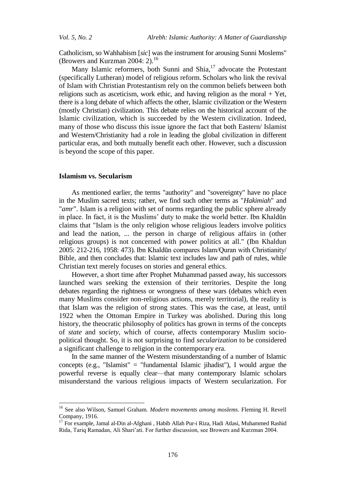Catholicism, so Wahhabism [*sic*] was the instrument for arousing Sunni Moslems" (Browers and Kurzman 2004: 2).<sup>16</sup>

Many Islamic reformers, both Sunni and Shia,<sup>17</sup> advocate the Protestant (specifically Lutheran) model of religious reform. Scholars who link the revival of Islam with Christian Protestantism rely on the common beliefs between both religions such as asceticism, work ethic, and having religion as the moral  $+$  Yet, there is a long debate of which affects the other, Islamic civilization or the Western (mostly Christian) civilization. This debate relies on the historical account of the Islamic civilization, which is succeeded by the Western civilization. Indeed, many of those who discuss this issue ignore the fact that both Eastern/ Islamist and Western/Christianity had a role in leading the global civilization in different particular eras, and both mutually benefit each other. However, such a discussion is beyond the scope of this paper.

## **Islamism vs. Secularism**

 $\ddot{\phantom{a}}$ 

As mentioned earlier, the terms "authority" and "sovereignty" have no place in the Muslim sacred texts; rather, we find such other terms as "*Hakimiah*" and "*amr*". Islam is a religion with set of norms regarding the public sphere already in place. In fact, it is the Muslims' duty to make the world better. Ibn Khaldūn claims that "Islam is the only religion whose religious leaders involve politics and lead the nation, ... the person in charge of religious affairs in (other religious groups) is not concerned with power politics at all." (Ibn Khaldun 2005: 212-216, 1958: 473). Ibn Khaldūn compares Islam/Quran with Christianity/ Bible, and then concludes that: Islamic text includes law and path of rules, while Christian text merely focuses on stories and general ethics.

However, a short time after Prophet Muhammad passed away, his successors launched wars seeking the extension of their territories. Despite the long debates regarding the rightness or wrongness of these wars (debates which even many Muslims consider non-religious actions, merely territorial), the reality is that Islam was the religion of strong states. This was the case, at least, until 1922 when the Ottoman Empire in Turkey was abolished. During this long history, the theocratic philosophy of politics has grown in terms of the concepts of *state* and *society*, which of course, affects contemporary Muslim sociopolitical thought. So, it is not surprising to find *secularization* to be considered a significant challenge to religion in the contemporary era.

In the same manner of the Western misunderstanding of a number of Islamic concepts (e.g., "Islamist" = "fundamental Islamic jihadist"), I would argue the powerful reverse is equally clear—that many contemporary Islamic scholars misunderstand the various religious impacts of Western secularization. For

<sup>16</sup> See also Wilson, Samuel Graham. *Modern movements among moslems*. Fleming H. Revell Company, 1916.

<sup>&</sup>lt;sup>17</sup> For example, Jamal al-Din al-Afghani, Habib Allah Pur-i Riza, Hadi Atlasi, Muhammed Rashid Rida, Tariq Ramadan, Ali Shari'ati. For further discussion, see Browers and Kurzman 2004.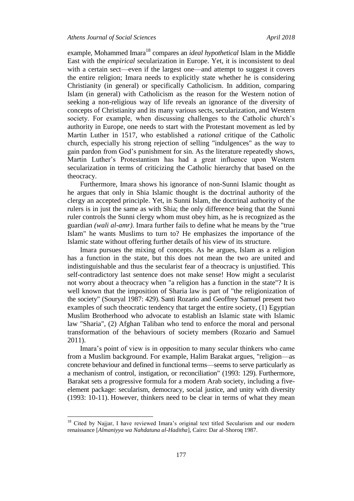example, Mohammed Imara<sup>18</sup> compares an *ideal hypothetical* Islam in the Middle East with the *empirical* secularization in Europe. Yet, it is inconsistent to deal with a certain sect—even if the largest one—and attempt to suggest it covers the entire religion; Imara needs to explicitly state whether he is considering Christianity (in general) or specifically Catholicism. In addition, comparing Islam (in general) with Catholicism as the reason for the Western notion of seeking a non-religious way of life reveals an ignorance of the diversity of concepts of Christianity and its many various sects, secularization, and Western society. For example, when discussing challenges to the Catholic church's authority in Europe, one needs to start with the Protestant movement as led by Martin Luther in 1517, who established a *rational* critique of the Catholic church, especially his strong rejection of selling "indulgences" as the way to gain pardon from God's punishment for sin. As the literature repeatedly shows, Martin Luther's Protestantism has had a great influence upon Western secularization in terms of criticizing the Catholic hierarchy that based on the theocracy.

Furthermore, Imara shows his ignorance of non-Sunni Islamic thought as he argues that only in Shia Islamic thought is the doctrinal authority of the clergy an accepted principle. Yet, in Sunni Islam, the doctrinal authority of the rulers is in just the same as with Shia; the only difference being that the Sunni ruler controls the Sunni clergy whom must obey him, as he is recognized as the guardian *(wali al-amr)*. Imara further fails to define what he means by the "true Islam" he wants Muslims to turn to? He emphasizes the importance of the Islamic state without offering further details of his view of its structure.

Imara pursues the mixing of concepts. As he argues, Islam as a religion has a function in the state, but this does not mean the two are united and indistinguishable and thus the secularist fear of a theocracy is unjustified. This self-contradictory last sentence does not make sense! How might a secularist not worry about a theocracy when "a religion has a function in the state"? It is well known that the imposition of Sharia law is part of "the religionization of the society" (Souryal 1987: 429). Santi Rozario and Geoffrey Samuel present two examples of such theocratic tendency that target the entire society, (1) Egyptian Muslim Brotherhood who advocate to establish an Islamic state with Islamic law "Sharia", (2) Afghan Taliban who tend to enforce the moral and personal transformation of the behaviours of society members (Rozario and Samuel 2011).

Imara's point of view is in opposition to many secular thinkers who came from a Muslim background. For example, Halim Barakat argues, "religion—as concrete behaviour and defined in functional terms—seems to serve particularly as a mechanism of control, instigation, or reconciliation" (1993: 129). Furthermore, Barakat sets a progressive formula for a modern Arab society, including a fiveelement package: secularism, democracy, social justice, and unity with diversity (1993: 10-11). However, thinkers need to be clear in terms of what they mean

 $\overline{\phantom{a}}$ 

<sup>&</sup>lt;sup>18</sup> Cited by Najjar, I have reviewed Imara's original text titled Secularism and our modern renaissance [*Almaniyya wa Nahdatuna al-Haditha*], Cairo: Dar al-Shoroq 1987.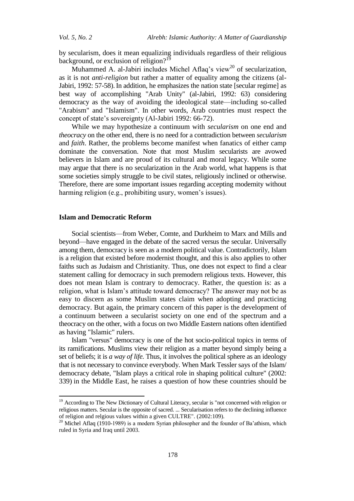by secularism, does it mean equalizing individuals regardless of their religious background, or exclusion of religion?<sup>19</sup>

Muhammed A. al-Jabiri includes Michel Aflaq's view<sup>20</sup> of secularization, as it is not *anti-religion* but rather a matter of equality among the citizens (al-Jabiri, 1992: 57-58).In addition, he emphasizes the nation state [secular regime] as best way of accomplishing "Arab Unity" (al-Jabiri, 1992: 63) considering democracy as the way of avoiding the ideological state—including so-called "Arabism" and "Islamism". In other words, Arab countries must respect the concept of state's sovereignty (Al-Jabiri 1992: 66-72).

While we may hypothesize a continuum with *secularism* on one end and *theocracy* on the other end, there is no need for a contradiction between *secularism* and *faith*. Rather, the problems become manifest when fanatics of either camp dominate the conversation. Note that most Muslim secularists are avowed believers in Islam and are proud of its cultural and moral legacy. While some may argue that there is no secularization in the Arab world, what happens is that some societies simply struggle to be civil states, religiously inclined or otherwise. Therefore, there are some important issues regarding accepting modernity without harming religion (e.g., prohibiting usury, women's issues).

#### **Islam and Democratic Reform**

 $\ddot{\phantom{a}}$ 

Social scientists—from Weber, Comte, and Durkheim to Marx and Mills and beyond—have engaged in the debate of the sacred versus the secular. Universally among them, democracy is seen as a modern political value. Contradictorily, Islam is a religion that existed before modernist thought, and this is also applies to other faiths such as Judaism and Christianity. Thus, one does not expect to find a clear statement calling for democracy in such premodern religious texts. However, this does not mean Islam is contrary to democracy. Rather, the question is: as a religion, what is Islam's attitude toward democracy? The answer may not be as easy to discern as some Muslim states claim when adopting and practicing democracy. But again, the primary concern of this paper is the development of a continuum between a secularist society on one end of the spectrum and a theocracy on the other, with a focus on two Middle Eastern nations often identified as having "Islamic" rulers.

Islam "versus" democracy is one of the hot socio-political topics in terms of its ramifications. Muslims view their religion as a matter beyond simply being a set of beliefs; it is *a way of life*. Thus, it involves the political sphere as an ideology that is not necessary to convince everybody. When Mark Tessler says of the Islam/ democracy debate, "Islam plays a critical role in shaping political culture" (2002: 339) in the Middle East, he raises a question of how these countries should be

<sup>&</sup>lt;sup>19</sup> According to The New Dictionary of Cultural Literacy, secular is "not concerned with religion or religious matters. Secular is the opposite of sacred. ... Secularisation refers to the declining influence of religion and relgious values within a given CULTRE". (2002:109).

 $20$  Michel Aflaq (1910-1989) is a modern Syrian philosopher and the founder of Ba'athism, which ruled in Syria and Iraq until 2003.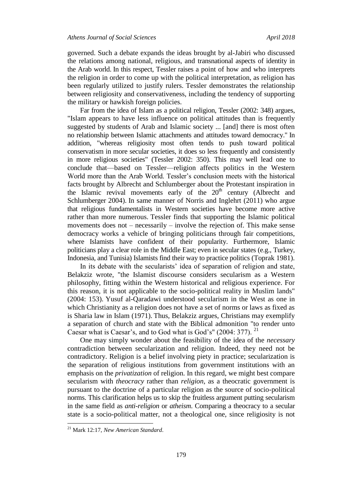governed. Such a debate expands the ideas brought by al-Jabiri who discussed the relations among national, religious, and transnational aspects of identity in the Arab world. In this respect, Tessler raises a point of how and who interprets the religion in order to come up with the political interpretation, as religion has been regularly utilized to justify rulers. Tessler demonstrates the relationship between religiosity and conservativeness, including the tendency of supporting the military or hawkish foreign policies.

Far from the idea of Islam as a political religion, Tessler (2002: 348) argues, "Islam appears to have less influence on political attitudes than is frequently suggested by students of Arab and Islamic society ... [and] there is most often no relationship between Islamic attachments and attitudes toward democracy." In addition, "whereas religiosity most often tends to push toward political conservatism in more secular societies, it does so less frequently and consistently in more religious societies" (Tessler 2002: 350). This may well lead one to conclude that—based on Tessler—religion affects politics in the Western World more than the Arab World. Tessler's conclusion meets with the historical facts brought by Albrecht and Schlumberger about the Protestant inspiration in the Islamic revival movements early of the  $20<sup>th</sup>$  century (Albrecht and Schlumberger 2004). In same manner of Norris and Inglehrt (2011) who argue that religious fundamentalists in Western societies have become more active rather than more numerous. Tessler finds that supporting the Islamic political movements does not – necessarily – involve the rejection of. This make sense democracy works a vehicle of bringing politicians through fair competitions, where Islamists have confident of their popularity. Furthermore, Islamic politicians play a clear role in the Middle East; even in secular states (e.g., Turkey, Indonesia, and Tunisia) Islamists find their way to practice politics (Toprak 1981).

In its debate with the secularists' idea of separation of religion and state, Belakziz wrote, "the Islamist discourse considers secularism as a Western philosophy, fitting within the Western historical and religious experience. For this reason, it is not applicable to the socio-political reality in Muslim lands" (2004: 153). Yusuf al-Qaradawi understood secularism in the West as one in which Christianity as a religion does not have a set of norms or laws as fixed as is Sharia law in Islam (1971). Thus, Belakziz argues, Christians may exemplify a separation of church and state with the Biblical admonition "to render unto Caesar what is Caesar's, and to God what is God's" (2004: 377). <sup>21</sup>

One may simply wonder about the feasibility of the idea of the *necessary* contradiction between secularization and religion. Indeed, they need not be contradictory. Religion is a belief involving piety in practice; secularization is the separation of religious institutions from government institutions with an emphasis on the *privatization* of religion. In this regard, we might best compare secularism with *theocracy* rather than *religion*, as a theocratic government is pursuant to the doctrine of a particular religion as the source of socio-political norms. This clarification helps us to skip the fruitless argument putting secularism in the same field as *anti-religion* or *atheism*. Comparing a theocracy to a secular state is a socio-political matter, not a theological one, since religiosity is not

 $\overline{a}$ 

<sup>21</sup> Mark 12:17, *New American Standard*.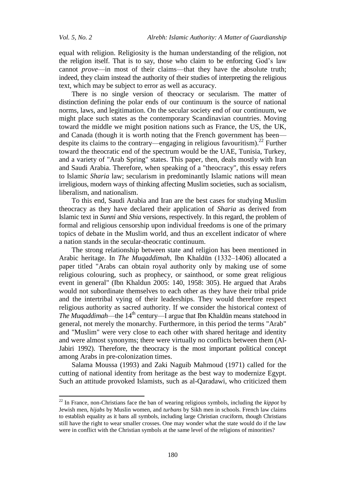$\ddot{\phantom{a}}$ 

equal with religion. Religiosity is the human understanding of the religion, not the religion itself. That is to say, those who claim to be enforcing God's law cannot *prove*—in most of their claims—that they have the absolute truth; indeed, they claim instead the authority of their studies of interpreting the religious text, which may be subject to error as well as accuracy.

There is no single version of theocracy or secularism. The matter of distinction defining the polar ends of our continuum is the source of national norms, laws, and legitimation. On the secular society end of our continuum, we might place such states as the contemporary Scandinavian countries. Moving toward the middle we might position nations such as France, the US, the UK, and Canada (though it is worth noting that the French government has been despite its claims to the contrary—engaging in religious favouritism).<sup>22</sup> Further toward the theocratic end of the spectrum would be the UAE, Tunisia, Turkey, and a variety of "Arab Spring" states. This paper, then, deals mostly with Iran and Saudi Arabia. Therefore, when speaking of a "theocracy", this essay refers to Islamic *Sharia* law; secularism in predominantly Islamic nations will mean irreligious, modern ways of thinking affecting Muslim societies, such as socialism, liberalism, and nationalism.

To this end, Saudi Arabia and Iran are the best cases for studying Muslim theocracy as they have declared their application of *Sharia* as derived from Islamic text in *Sunni* and *Shia* versions, respectively. In this regard, the problem of formal and religious censorship upon individual freedoms is one of the primary topics of debate in the Muslim world, and thus an excellent indicator of where a nation stands in the secular-theocratic continuum.

The strong relationship between state and religion has been mentioned in Arabic heritage. In *The Muqaddimah*, Ibn Khaldūn (1332–1406) allocated a paper titled "Arabs can obtain royal authority only by making use of some religious colouring, such as prophecy, or sainthood, or some great religious event in general" (Ibn Khaldun 2005: 140, 1958: 305). He argued that Arabs would not subordinate themselves to each other as they have their tribal pride and the intertribal vying of their leaderships. They would therefore respect religious authority as sacred authority. If we consider the historical context of *The Muqaddimah*—the 14<sup>th</sup> century—I argue that Ibn Khaldūn means statehood in general, not merely the monarchy. Furthermore, in this period the terms "Arab" and "Muslim" were very close to each other with shared heritage and identity and were almost synonyms; there were virtually no conflicts between them (Αl-Jabiri 1992). Therefore, the theocracy is the most important political concept among Arabs in pre-colonization times.

Salama Moussa (1993) and Zaki Naguib Mahmoud (1971) called for the cutting of national identity from heritage as the best way to modernize Egypt. Such an attitude provoked Islamists, such as al-Qaradawi, who criticized them

<sup>22</sup> In France, non-Christians face the ban of wearing religious symbols, including the *kippot* by Jewish men, *hijabs* by Muslin women, and *turbans* by Sikh men in schools. French law claims to establish equality as it bans all symbols, including large Christian cruciform, though Christians still have the right to wear smaller crosses. One may wonder what the state would do if the law were in conflict with the Christian symbols at the same level of the religions of minorities?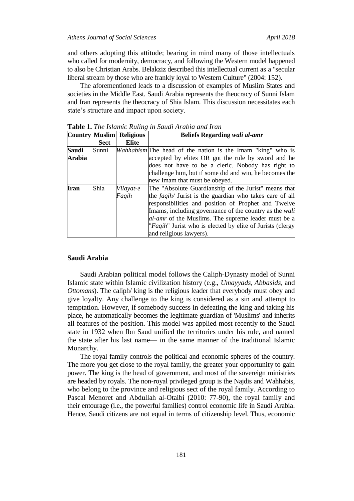and others adopting this attitude; bearing in mind many of those intellectuals who called for modernity, democracy, and following the Western model happened to also be Christian Arabs. Belakziz described this intellectual current as a "secular liberal stream by those who are frankly loyal to Western Culture" (2004: 152).

The aforementioned leads to a discussion of examples of Muslim States and societies in the Middle East. Saudi Arabia represents the theocracy of Sunni Islam and Iran represents the theocracy of Shia Islam. This discussion necessitates each state's structure and impact upon society.

|        |             | <b>Country Muslim Religious</b> | <b>Beliefs Regarding wali al-amr</b>                              |
|--------|-------------|---------------------------------|-------------------------------------------------------------------|
|        | <b>Sect</b> | <b>Elite</b>                    |                                                                   |
| Saudi  | Sunni       |                                 | <i>Wahhabism</i> The head of the nation is the Imam "king" who is |
| Arabia |             |                                 | accepted by elites OR got the rule by sword and he                |
|        |             |                                 | does not have to be a cleric. Nobody has right to                 |
|        |             |                                 | challenge him, but if some did and win, he becomes the            |
|        |             |                                 | new Imam that must be obeyed.                                     |
| Iran   | Shia        | Vilayat-e                       | The "Absolute Guardianship of the Jurist" means that              |
|        |             | Faqih                           | the <i>faqih</i> / Jurist is the guardian who takes care of all   |
|        |             |                                 | responsibilities and position of Prophet and Twelve               |
|        |             |                                 | Imams, including governance of the country as the <i>wali</i>     |
|        |             |                                 | <i>al-amr</i> of the Muslims. The supreme leader must be a        |
|        |             |                                 | "Faqih" Jurist who is elected by elite of Jurists (clergy         |
|        |             |                                 | and religious lawyers).                                           |

**Table 1.** *The Islamic Ruling in Saudi Arabia and Iran*

# **Saudi Arabia**

Saudi Arabian political model follows the Caliph-Dynasty model of Sunni Islamic state within Islamic civilization history (e.g., *Umayyads, Abbasids,* and *Ottomans*). The caliph/ king is the religious leader that everybody must obey and give loyalty. Any challenge to the king is considered as a sin and attempt to temptation. However, if somebody success in defeating the king and taking his place, he automatically becomes the legitimate guardian of 'Muslims' and inherits all features of the position. This model was applied most recently to the Saudi state in 1932 when Ibn Saud unified the territories under his rule, and named the state after his last name— in the same manner of the traditional Islamic Monarchy.

The royal family controls the political and economic spheres of the country. The more you get close to the royal family, the greater your opportunity to gain power. The king is the head of government, and most of the sovereign ministries are headed by royals. The non-royal privileged group is the Najdis and Wahhabis, who belong to the province and religious sect of the royal family. According to Pascal Menoret and Abdullah al-Otaibi (2010: 77-90), the royal family and their entourage (i.e., the powerful families) control economic life in Saudi Arabia. Hence, Saudi citizens are not equal in terms of citizenship level. Thus, economic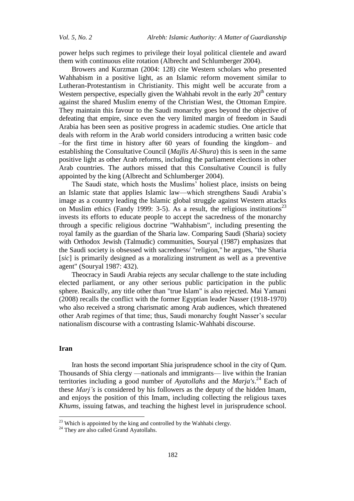power helps such regimes to privilege their loyal political clientele and award them with continuous elite rotation (Albrecht and Schlumberger 2004).

Browers and Kurzman (2004: 128) cite Western scholars who presented Wahhabism in a positive light, as an Islamic reform movement similar to Lutheran-Protestantism in Christianity. This might well be accurate from a Western perspective, especially given the Wahhabi revolt in the early  $20<sup>th</sup>$  century against the shared Muslim enemy of the Christian West, the Ottoman Empire. They maintain this favour to the Saudi monarchy goes beyond the objective of defeating that empire, since even the very limited margin of freedom in Saudi Arabia has been seen as positive progress in academic studies. One article that deals with reform in the Arab world considers introducing a written basic code –for the first time in history after 60 years of founding the kingdom– and establishing the Consultative Council (*Majlis Al-Shura*) this is seen in the same positive light as other Arab reforms, including the parliament elections in other Arab countries. The authors missed that this Consultative Council is fully appointed by the king (Albrecht and Schlumberger 2004).

The Saudi state, which hosts the Muslims' holiest place, insists on being an Islamic state that applies Islamic law—which strengthens Saudi Arabia's image as a country leading the Islamic global struggle against Western attacks on Muslim ethics (Fandy 1999: 3-5). As a result, the religious institutions<sup>23</sup> invests its efforts to educate people to accept the sacredness of the monarchy through a specific religious doctrine "Wahhabism", including presenting the royal family as the guardian of the Sharia law. Comparing Saudi (Sharia) society with Orthodox Jewish (Talmudic) communities, Souryal (1987) emphasizes that the Saudi society is obsessed with sacredness/ "religion," he argues, "the Sharia [*sic*] is primarily designed as a moralizing instrument as well as a preventive agent" (Souryal 1987: 432).

Theocracy in Saudi Arabia rejects any secular challenge to the state including elected parliament, or any other serious public participation in the public sphere. Basically, any title other than "true Islam" is also rejected. Mai Yamani (2008) recalls the conflict with the former Egyptian leader Nasser (1918-1970) who also received a strong charismatic among Arab audiences, which threatened other Arab regimes of that time; thus, Saudi monarchy fought Nasser's secular nationalism discourse with a contrasting Islamic-Wahhabi discourse.

## **Iran**

 $\overline{a}$ 

Iran hosts the second important Shia jurisprudence school in the city of Qum. Thousands of Shia clergy —nationals and immigrants— live within the Iranian territories including a good number of *Ayatollahs* and the *Marja's*. <sup>24</sup> Each of these *Marj's* is considered by his followers as the deputy of the hidden Imam, and enjoys the position of this Imam, including collecting the religious taxes *Khums*, issuing fatwas, and teaching the highest level in jurisprudence school.

 $^{23}$  Which is appointed by the king and controlled by the Wahhabi clergy.

<sup>&</sup>lt;sup>24</sup> They are also called Grand Ayatollahs.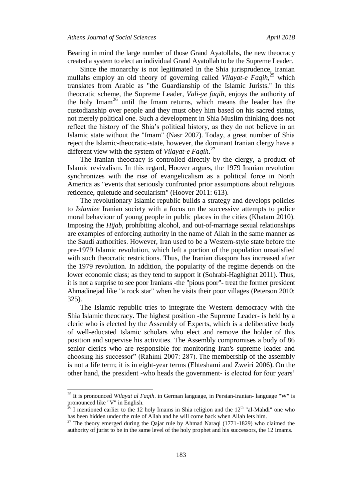$\overline{a}$ 

Bearing in mind the large number of those Grand Ayatollahs, the new theocracy created a system to elect an individual Grand Ayatollah to be the Supreme Leader.

Since the monarchy is not legitimated in the Shia jurisprudence, Iranian mullahs employ an old theory of governing called *Vilayat-e Faqih*, <sup>25</sup> which translates from Arabic as "the Guardianship of the Islamic Jurists." In this theocratic scheme, the Supreme Leader, *Vali-ye faqih*, enjoys the authority of the holy Imam<sup>26</sup> until the Imam returns, which means the leader has the custodianship over people and they must obey him based on his sacred status, not merely political one. Such a development in Shia Muslim thinking does not reflect the history of the Shia's political history, as they do not believe in an Islamic state without the "Imam" (Nasr 2007). Today, a great number of Shia reject the Islamic-theocratic-state, however, the dominant Iranian clergy have a different view with the system of *Vilayat-e Faqih*. 27

The Iranian theocracy is controlled directly by the clergy, a product of Islamic revivalism. In this regard, Hoover argues, the 1979 Iranian revolution synchronizes with the rise of evangelicalism as a political force in North America as "events that seriously confronted prior assumptions about religious reticence, quietude and secularism" (Hoover 2011: 613).

The revolutionary Islamic republic builds a strategy and develops policies to *Islamize* Iranian society with a focus on the successive attempts to police moral behaviour of young people in public places in the cities (Khatam 2010). Imposing the *Hijab*, prohibiting alcohol, and out-of-marriage sexual relationships are examples of enforcing authority in the name of Allah in the same manner as the Saudi authorities. However, Iran used to be a Western-style state before the pre-1979 Islamic revolution, which left a portion of the population unsatisfied with such theocratic restrictions. Thus, the Iranian diaspora has increased after the 1979 revolution. In addition, the popularity of the regime depends on the lower economic class; as they tend to support it (Sohrabi-Haghighat 2011). Thus, it is not a surprise to see poor Iranians -the "pious poor"- treat the former president Ahmadinejad like "a rock star" when he visits their poor villages (Peterson 2010: 325).

The Islamic republic tries to integrate the Western democracy with the Shia Islamic theocracy. The highest position -the Supreme Leader- is held by a cleric who is elected by the Assembly of Experts, which is a deliberative body of well-educated Islamic scholars who elect and remove the holder of this position and supervise his activities. The Assembly compromises a body of 86 senior clerics who are responsible for monitoring Iran's supreme leader and choosing his successor" (Rahimi 2007: 287). The membership of the assembly is not a life term; it is in eight-year terms (Ehteshami and Zweiri 2006). On the other hand, the president -who heads the government- is elected for four years'

<sup>25</sup> It is pronounced *Wilayat al Faqih*. in German language, in Persian-Iranian- language "W" is pronounced like "V" in English.

 $^{26}$  I mentioned earlier to the 12 holy Imams in Shia religion and the 12<sup>th</sup> "al-Mahdi" one who has been hidden under the rule of Allah and he will come back when Allah lets him.

 $27$  The theory emerged during the Qajar rule by Ahmad Naraqi (1771-1829) who claimed the authority of jurist to be in the same level of the holy prophet and his successors, the 12 Imams.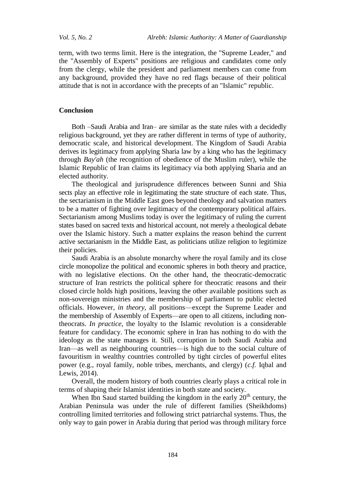term, with two terms limit. Here is the integration, the "Supreme Leader," and the "Assembly of Experts" positions are religious and candidates come only from the clergy, while the president and parliament members can come from any background, provided they have no red flags because of their political attitude that is not in accordance with the precepts of an "Islamic" republic.

## **Conclusion**

Both –Saudi Arabia and Iran– are similar as the state rules with a decidedly religious background, yet they are rather different in terms of type of authority, democratic scale, and historical development. The Kingdom of Saudi Arabia derives its legitimacy from applying Sharia law by a king who has the legitimacy through *Bay'ah* (the recognition of obedience of the Muslim ruler), while the Islamic Republic of Iran claims its legitimacy via both applying Sharia and an elected authority.

The theological and jurisprudence differences between Sunni and Shia sects play an effective role in legitimating the state structure of each state. Thus, the sectarianism in the Middle East goes beyond theology and salvation matters to be a matter of fighting over legitimacy of the contemporary political affairs. Sectarianism among Muslims today is over the legitimacy of ruling the current states based on sacred texts and historical account, not merely a theological debate over the Islamic history. Such a matter explains the reason behind the current active sectarianism in the Middle East, as politicians utilize religion to legitimize their policies.

Saudi Arabia is an absolute monarchy where the royal family and its close circle monopolize the political and economic spheres in both theory and practice, with no legislative elections. On the other hand, the theocratic-democratic structure of Iran restricts the political sphere for theocratic reasons and their closed circle holds high positions, leaving the other available positions such as non-sovereign ministries and the membership of parliament to public elected officials. However, *in theory*, all positions—except the Supreme Leader and the membership of Assembly of Experts—are open to all citizens, including nontheocrats. *In practice*, the loyalty to the Islamic revolution is a considerable feature for candidacy. The economic sphere in Iran has nothing to do with the ideology as the state manages it. Still, corruption in both Saudi Arabia and Iran—as well as neighbouring countries—is high due to the social culture of favouritism in wealthy countries controlled by tight circles of powerful elites power (e.g., royal family, noble tribes, merchants, and clergy) (*c.f.* Iqbal and Lewis, 2014).

Overall, the modern history of both countries clearly plays a critical role in terms of shaping their Islamist identities in both state and society.

When Ibn Saud started building the kingdom in the early  $20<sup>th</sup>$  century, the Arabian Peninsula was under the rule of different families (Sheikhdoms) controlling limited territories and following strict patriarchal systems. Thus, the only way to gain power in Arabia during that period was through military force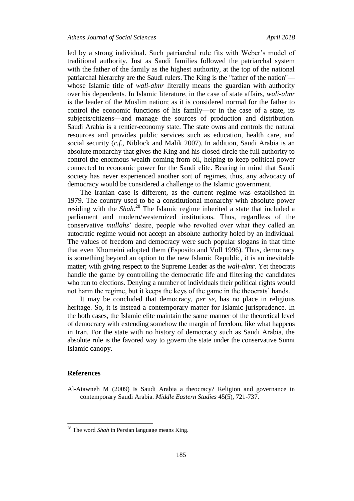led by a strong individual. Such patriarchal rule fits with Weber's model of traditional authority. Just as Saudi families followed the patriarchal system with the father of the family as the highest authority, at the top of the national patriarchal hierarchy are the Saudi rulers. The King is the "father of the nation" whose Islamic title of *wali-almr* literally means the guardian with authority over his dependents. In Islamic literature, in the case of state affairs, *wali-almr* is the leader of the Muslim nation; as it is considered normal for the father to control the economic functions of his family—or in the case of a state, its subjects/citizens—and manage the sources of production and distribution. Saudi Arabia is a rentier-economy state. The state owns and controls the natural resources and provides public services such as education, health care, and social security (*c.f.,* Niblock and Malik 2007). In addition, Saudi Arabia is an absolute monarchy that gives the King and his closed circle the full authority to control the enormous wealth coming from oil, helping to keep political power connected to economic power for the Saudi elite. Bearing in mind that Saudi society has never experienced another sort of regimes, thus, any advocacy of democracy would be considered a challenge to the Islamic government.

The Iranian case is different, as the current regime was established in 1979. The country used to be a constitutional monarchy with absolute power residing with the *Shah*. <sup>28</sup> The Islamic regime inherited a state that included a parliament and modern/westernized institutions. Thus, regardless of the conservative *mullahs*' desire, people who revolted over what they called an autocratic regime would not accept an absolute authority holed by an individual. The values of freedom and democracy were such popular slogans in that time that even Khomeini adopted them (Esposito and Voll 1996). Thus, democracy is something beyond an option to the new Islamic Republic, it is an inevitable matter; with giving respect to the Supreme Leader as the *wali-almr*. Yet theocrats handle the game by controlling the democratic life and filtering the candidates who run to elections. Denying a number of individuals their political rights would not harm the regime, but it keeps the keys of the game in the theocrats' hands.

It may be concluded that democracy, *per se*, has no place in religious heritage. So, it is instead a contemporary matter for Islamic jurisprudence. In the both cases, the Islamic elite maintain the same manner of the theoretical level of democracy with extending somehow the margin of freedom, like what happens in Iran. For the state with no history of democracy such as Saudi Arabia, the absolute rule is the favored way to govern the state under the conservative Sunni Islamic canopy.

#### **References**

 $\overline{a}$ 

Al-Atawneh M (2009) Is Saudi Arabia a theocracy? Religion and governance in contemporary Saudi Arabia. *Middle Eastern Studies* 45(5), 721-737.

<sup>28</sup> The word *Shah* in Persian language means King.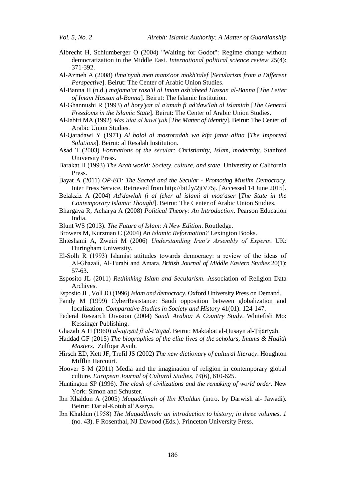- Albrecht H, Schlumberger O (2004) "Waiting for Godot": Regime change without democratization in the Middle East. *International political science review* 25(4): 371-392.
- Al-Azmeh A (2008) *ilma'nyah men manz'oor mokh'talef* [*Secularism from a Different Perspective*]. Beirut: The Center of Arabic Union Studies.
- Al-Banna H (n.d.) *majoma'at rasa'il al Imam ash'aheed Hassan al-Banna* [*The Letter of Imam Hassan al-Banna*]. Beirut: The Islamic Institution.
- Al-Ghannushi R (1993) *al hory'yat al a'amah fi ad'daw'lah al islamiah* [*The General Freedoms in the Islamic State*]. Beirut: The Center of Arabic Union Studies.
- Al-Jabiri MA (1992) *Mas'alat al hawi'yah* [*The Matter of Identity*]. Beirut: The Center of Arabic Union Studies.
- Al-Qaradawi Y (1971) *Al holol al mostoradah wa kifa janat alina* [*The Imported Solutions*]. Beirut: al Resalah Institution.
- Asad T (2003) *Formations of the secular: Christianity, Islam, modernity*. Stanford University Press.
- Barakat H (1993) *The Arab world: Society, culture, and state*. University of California Press.
- Bayat A (2011) *OP-ED: The Sacred and the Secular - Promoting Muslim Democracy*. Inter Press Service. Retrieved from http://bit.ly/2jtV75j. [Accessed 14 June 2015].
- Belakziz A (2004) *Ad'dawlah fi al feker al islami al moa'aser* [*The State in the Contemporary Islamic Thought*]. Beirut: The Center of Arabic Union Studies.
- Bhargava R, Acharya A (2008) *Political Theory: An Introduction*. Pearson Education India.
- Blunt WS (2013). *The Future of Islam: A New Edition*. Routledge.
- Browers M, Kurzman C (2004) *An Islamic Reformation?* Lexington Books.
- Ehteshami A, Zweiri M (2006) *Understanding Iran's Assembly of Experts*. UK: Duringham University.
- El‐Solh R (1993) Islamist attitudes towards democracy: a review of the ideas of Al‐Ghazali, Al‐Turabi and Amara. *British Journal of Middle Eastern Studies* 20(1): 57-63.
- Esposito JL (2011) *Rethinking Islam and Secularism*. Association of Religion Data Archives.
- Esposito JL, Voll JO (1996) *Islam and democracy*. Oxford University Press on Demand.
- Fandy M (1999) CyberResistance: Saudi opposition between globalization and localization. *Comparative Studies in Society and History* 41(01): 124-147.
- Federal Research Division (2004) *Saudi Arabia: A Country Study*. Whitefish Mo: Kessinger Publishing.
- Ghazali A H (1960) *al-iqtiṣād fī al-iʻtiqād*. Beirut: Maktabat al-Ḥusayn al-Ṭijārīyah.
- Haddad GF (2015) *The biographies of the elite lives of the scholars, Imams & Hadith Masters*. Zulfiqar Ayub.
- Hirsch ED, Kett JF, Trefil JS (2002) *The new dictionary of cultural literacy*. Houghton Mifflin Harcourt.
- Hoover S M (2011) Media and the imagination of religion in contemporary global culture. *European Journal of Cultural Studies*, *14*(6), 610-625.
- Huntington SP (1996). *The clash of civilizations and the remaking of world order*. New York: Simon and Schuster.
- Ibn Khaldun A (2005) *Muqaddimah of Ibn Khaldun* (intro. by Darwish al- Jawadi). Beirut: Dar al-Kotub al'Assrya.
- Ibn Khaldūn (1958) *The Muqaddimah: an introduction to history; in three volumes. 1*  (no. 43). F Rosenthal, NJ Dawood (Eds.). Princeton University Press.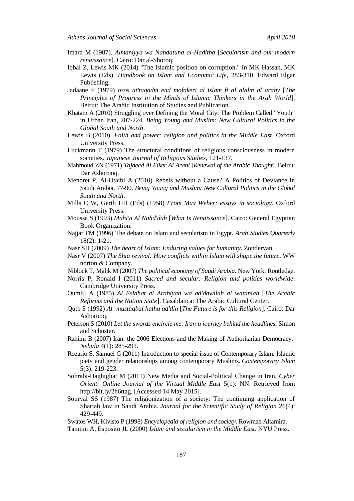- Imara M (1987)*, Almaniyya wa Nahdatuna al-Haditha* [*Secularism and our modern renaissance*]. Cairo: Dar al-Shoroq.
- Iqbal Z, Lewis MK (2014) "The Islamic position on corruption." In MK Hassan, MK Lewis (Eds). *Handbook on Islam and Economic Life,* 283-310. Edward Elgar Publishing.
- Jadaane F (1979) *osos at'taqadm end mofakeri al islam fi al alalm al araby* [*The Principles of Progress in the Minds of Islamic Thinkers in the Arab World*]. Beirut: The Arabic Institution of Studies and Publication.
- Khatam A (2010) Struggling over Defining the Moral City: The Problem Called "Youth" in Urban Iran, 207-224. *Being Young and Muslim: New Cultural Politics in the Global South and North*.
- Lewis B (2010). *Faith and power: religion and politics in the Middle East*. Oxford University Press.
- Luckmann T (1979) The structural conditions of religious consciousness in modern societies. *Japanese Journal of Religious Studies*, 121-137.
- Mahmoud ZN (1971) *Tajdeed Al Fiker Al Arabi* [*Renewal of the Arabic Thought*]. Beirut: Dar Ashorooq.
- Menoret P, Al-Otaibi A (2010) Rebels without a Cause? A Politics of Deviance in Saudi Arabia, 77-90. *Being Young and Muslim: New Cultural Politics in the Global South and North*.
- Mills C W, Gerth HH (Eds) (1958) *From Max Weber: essays in sociology*. Oxford University Press.
- Moussa S (1993) *Mahi'a Al Nahd'dah* [*What Is Renaissance*]. Cairo: General Egyptian Book Organization.
- Najjar FM (1996) The debate on Islam and secularism in Egypt. *Arab Studies Quarterly* 18(2): 1-21.
- Nasr SH (2009) *The heart of Islam: Enduring values for humanity*. Zondervan.
- Nasr V (2007) *The Shia revival: How conflicts within Islam will shape the future*. WW norton & Company.
- Niblock T, Malik M (2007) *The political economy of Saudi Arabia*. New York: Routledge.
- Norris P, Ronald I (2011) *Sacred and secular: Religion and politics worldwide*. Cambridge University Press.
- Oumlil A (1985) *Al Eslahat al Arabiyah wa ad'dawllah al wataniah* [*The Arabic Reforms and the Nation State*]. Casablanca: The Arabic Cultural Center.
- Qutb S (1992) *Al- mustaqbal hatha ad'din* [*The Future is for this Religion*]. Cairo: Dar Ashorooq.
- Peterson S (2010) *Let the swords encircle me: Iran-a journey behind the headlines*. Simon and Schuster.
- Rahimi B (2007) Iran: the 2006 Elections and the Making of Authoritarian Democracy. *Nebula* 4(1): 285-291.
- Rozario S, Samuel G (2011) Introduction to special issue of Contemporary Islam: Islamic piety and gender relationships among contemporary Muslims. *Contemporary Islam* 5(3): 219-223.
- Sohrabi-Haghighat M (2011) New Media and Social-Political Change in Iran. *Cyber Orient: Online Journal of the Virtual Middle East* 5(1): NN. Retrieved from http://bit.ly/2h6ttag. [Accessed 14 May 2015].
- Souryal SS (1987) The religionization of a society: The continuing application of Shariah law in Saudi Arabia. *Journal for the Scientific Study of Religion* 26(4): 429-449.

Swatos WH, Kivisto P (1998) *Encyclopedia of religion and society*. Rowman Altamira.

Tamimi A, Esposito JL (2000) *Islam and secularism in the Middle East*. NYU Press.